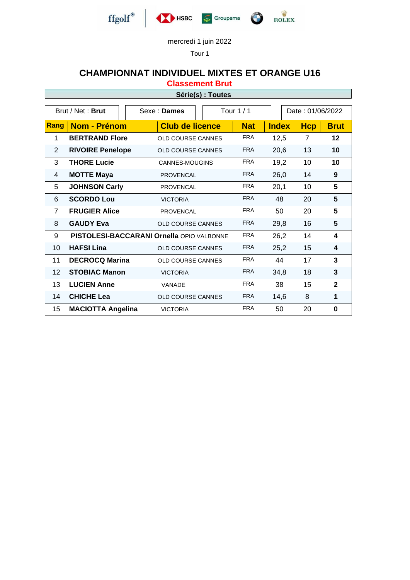

Tour 1

### **CHAMPIONNAT INDIVIDUEL MIXTES ET ORANGE U16**

**Classement Brut**

#### **Série(s) : Toutes**

| Brut / Net: Brut |                                                     | Sexe: Dames              | Tour $1/1$ |            |              | Date: 01/06/2022 |              |  |
|------------------|-----------------------------------------------------|--------------------------|------------|------------|--------------|------------------|--------------|--|
| Rang             | <b>Nom - Prénom</b>                                 | <b>Club de licence</b>   |            | <b>Nat</b> | <b>Index</b> | <b>Hcp</b>       | <b>Brut</b>  |  |
| 1                | <b>BERTRAND Flore</b><br><b>OLD COURSE CANNES</b>   |                          |            | <b>FRA</b> | 12,5         | $\overline{7}$   | 12           |  |
| 2                | <b>RIVOIRE Penelope</b><br><b>OLD COURSE CANNES</b> |                          |            | <b>FRA</b> | 20,6         | 13               | 10           |  |
| 3                | <b>THORE Lucie</b>                                  | CANNES-MOUGINS           |            | <b>FRA</b> | 19,2         | 10               | 10           |  |
| 4                | <b>MOTTE Maya</b>                                   | <b>PROVENCAL</b>         |            | <b>FRA</b> | 26,0         | 14               | 9            |  |
| 5                | <b>JOHNSON Carly</b>                                | <b>PROVENCAL</b>         |            | <b>FRA</b> | 20,1         | 10               | 5            |  |
| 6                | <b>SCORDO Lou</b>                                   | <b>VICTORIA</b>          |            | <b>FRA</b> | 48           | 20               | 5            |  |
| $\overline{7}$   | <b>FRUGIER Alice</b>                                | <b>PROVENCAL</b>         |            | <b>FRA</b> | 50           | 20               | 5            |  |
| 8                | <b>GAUDY Eva</b>                                    | OLD COURSE CANNES        |            | <b>FRA</b> | 29,8         | 16               | 5            |  |
| 9                | <b>PISTOLESI-BACCARANI Ornella OPIO VALBONNE</b>    |                          |            | <b>FRA</b> | 26,2         | 14               | 4            |  |
| 10               | <b>HAFSI Lina</b>                                   | <b>OLD COURSE CANNES</b> |            | <b>FRA</b> | 25,2         | 15               | 4            |  |
| 11               | <b>DECROCQ Marina</b>                               | <b>OLD COURSE CANNES</b> |            | <b>FRA</b> | 44           | 17               | 3            |  |
| 12               | <b>STOBIAC Manon</b>                                | <b>VICTORIA</b>          |            | <b>FRA</b> | 34,8         | 18               | 3            |  |
| 13               | <b>LUCIEN Anne</b>                                  | VANADE                   |            | <b>FRA</b> | 38           | 15               | $\mathbf{2}$ |  |
| 14               | <b>CHICHE Lea</b>                                   | OLD COURSE CANNES        |            | <b>FRA</b> | 14,6         | 8                | 1            |  |
| 15               | <b>MACIOTTA Angelina</b>                            | <b>VICTORIA</b>          |            | <b>FRA</b> | 50           | 20               | 0            |  |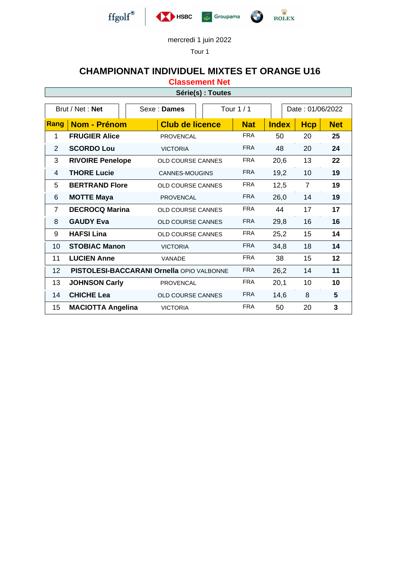

Tour 1

# **CHAMPIONNAT INDIVIDUEL MIXTES ET ORANGE U16**

**Classement Net**

| Série(s) : Toutes |
|-------------------|
|-------------------|

| Brut / Net: Net |                                                  |  | Sexe: Dames              | Tour 1 / 1               |            |              | Date: 01/06/2022 |            |  |
|-----------------|--------------------------------------------------|--|--------------------------|--------------------------|------------|--------------|------------------|------------|--|
| Rang            | <b>Nom - Prénom</b>                              |  | <b>Club de licence</b>   |                          | <b>Nat</b> | <b>Index</b> | <b>Hcp</b>       | <b>Net</b> |  |
| 1               | <b>FRUGIER Alice</b>                             |  | <b>PROVENCAL</b>         |                          | <b>FRA</b> | 50           | 20               | 25         |  |
| $\overline{2}$  | <b>SCORDO Lou</b>                                |  | <b>VICTORIA</b>          |                          | <b>FRA</b> | 48           | 20               | 24         |  |
| 3               | <b>RIVOIRE Penelope</b>                          |  |                          | <b>OLD COURSE CANNES</b> |            | 20,6         | 13               | 22         |  |
| 4               | <b>THORE Lucie</b>                               |  | <b>CANNES-MOUGINS</b>    |                          | <b>FRA</b> | 19,2         | 10               | 19         |  |
| 5               | <b>BERTRAND Flore</b>                            |  | <b>OLD COURSE CANNES</b> |                          | <b>FRA</b> | 12,5         | 7                | 19         |  |
| 6               | <b>MOTTE Maya</b>                                |  | <b>PROVENCAL</b>         |                          | <b>FRA</b> | 26,0         | 14               | 19         |  |
| $\overline{7}$  | <b>DECROCQ Marina</b>                            |  | <b>OLD COURSE CANNES</b> |                          | <b>FRA</b> | 44           | 17               | 17         |  |
| 8               | <b>GAUDY Eva</b>                                 |  | <b>OLD COURSE CANNES</b> |                          | <b>FRA</b> | 29,8         | 16               | 16         |  |
| 9               | <b>HAFSI Lina</b>                                |  | <b>OLD COURSE CANNES</b> |                          | <b>FRA</b> | 25,2         | 15               | 14         |  |
| 10              | <b>STOBIAC Manon</b>                             |  | <b>VICTORIA</b>          |                          | <b>FRA</b> | 34,8         | 18               | 14         |  |
| 11              | <b>LUCIEN Anne</b>                               |  | <b>VANADE</b>            |                          | <b>FRA</b> | 38           | 15               | 12         |  |
| 12 <sup>2</sup> | <b>PISTOLESI-BACCARANI Ornella OPIO VALBONNE</b> |  |                          |                          | <b>FRA</b> | 26,2         | 14               | 11         |  |
| 13              | <b>JOHNSON Carly</b>                             |  | <b>PROVENCAL</b>         |                          | <b>FRA</b> | 20,1         | 10               | 10         |  |
| 14              | <b>CHICHE Lea</b>                                |  | <b>OLD COURSE CANNES</b> |                          | <b>FRA</b> | 14,6         | 8                | 5          |  |
| 15              | <b>MACIOTTA Angelina</b>                         |  | <b>VICTORIA</b>          |                          | <b>FRA</b> | 50           | 20               | 3          |  |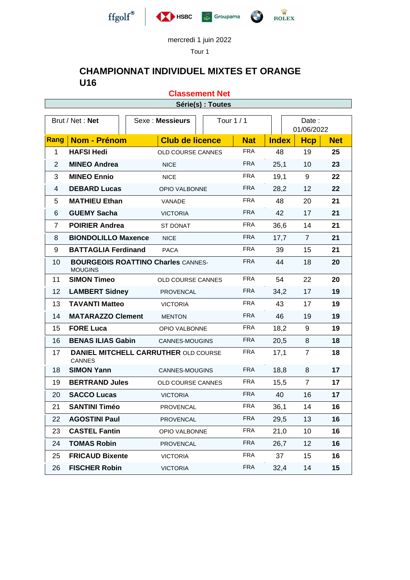

Tour 1

**Classement Net**

## **CHAMPIONNAT INDIVIDUEL MIXTES ET ORANGE U16**

Brut / Net : **Net**  $\begin{array}{c|c|c|c|c} \hline \end{array}$  Sexe : **Messieurs**  $\begin{array}{ccc|c|c|c} \hline \end{array}$  Tour 1 / 1  $\begin{array}{ccc|c} \hline \end{array}$  Date : 01/06/2022 **Rang Nom - Prénom Club de licence Nat Index Hcp Net HAFSI Hedi** OLD COURSE CANNES FRA 48 19 **25 MINEO Andrea** NICE FRA 25,1 10 **23 MINEO Ennio** NICE FRA 19,1 9 **22 DEBARD Lucas** OPIO VALBONNE FRA 28,2 12 **22 MATHIEU Ethan** VANADE FRA 48 20 **21 GUEMY Sacha** VICTORIA FRA 42 17 **21 POIRIER Andrea** ST DONAT FRA 36,6 14 **21 BIONDOLILLO Maxence** NICE FRA 17,7 7 **21 BATTAGLIA Ferdinand** PACA FRA 39 15 **21 BOURGEOIS ROATTINO Charles** CANNES-MOUGINS FRA 44 18 **20 SIMON Timeo** OLD COURSE CANNES FRA 54 22 **20 LAMBERT Sidney** PROVENCAL FRA 34,2 17 **19 TAVANTI Matteo** VICTORIA FRA 43 17 **19 MATARAZZO Clement** MENTON FRA 46 19 **19 FORE Luca** OPIO VALBONNE FRA 18,2 9 **19 BENAS ILIAS Gabin** CANNES-MOUGINS FRA 20,5 8 **18 DANIEL MITCHELL CARRUTHER** OLD COURSE CANNES FRA 17,1 7 **18 SIMON Yann** CANNES-MOUGINS FRA 18,8 8 **17 BERTRAND Jules** OLD COURSE CANNES FRA 15,5 7 **17 SACCO Lucas** VICTORIA FRA 40 16 **17 SANTINI Timéo** PROVENCAL FRA 36,1 14 **16 AGOSTINI Paul** PROVENCAL FRA 29,5 13 **16 CASTEL Fantin** OPIO VALBONNE FRA 21,0 10 **16 TOMAS Robin** PROVENCAL FRA 26,7 12 **16 FRICAUD Bixente** VICTORIA FRA 37 15 **16 FISCHER Robin** VICTORIA FRA 32,4 14 **15 Série(s) : Toutes**